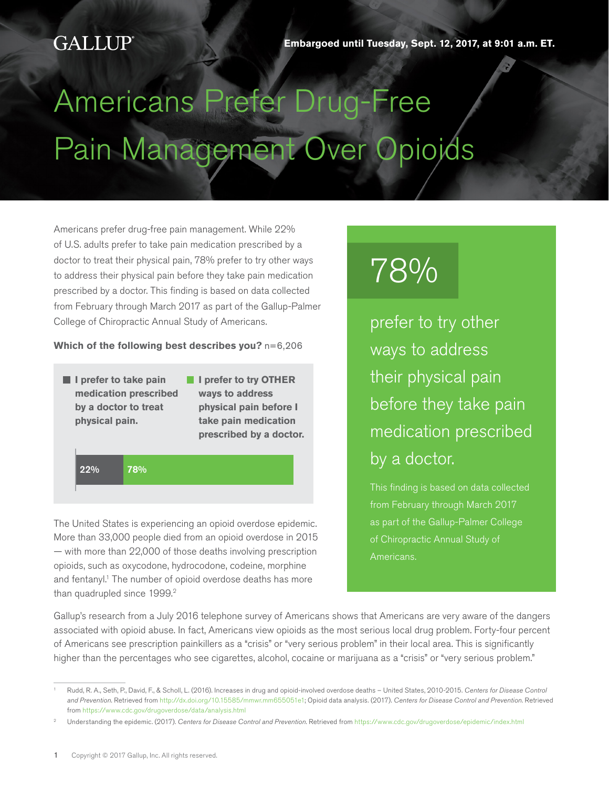# Americans Prefer Drug-Free Pain Management Over Opioids

Americans prefer drug-free pain management. While 22% of U.S. adults prefer to take pain medication prescribed by a doctor to treat their physical pain, 78% prefer to try other ways to address their physical pain before they take pain medication prescribed by a doctor. This finding is based on data collected from February through March 2017 as part of the Gallup-Palmer College of Chiropractic Annual Study of Americans.

#### **Which of the following best describes you?** n=6,206

- **I** l prefer to take pain **medication prescribed by a doctor to treat physical pain.**
- **I** I prefer to try OTHER **ways to address physical pain before I take pain medication prescribed by a doctor.**

22% 78%

The United States is experiencing an opioid overdose epidemic. More than 33,000 people died from an opioid overdose in 2015 — with more than 22,000 of those deaths involving prescription opioids, such as oxycodone, hydrocodone, codeine, morphine and fentanyl.<sup>1</sup> The number of opioid overdose deaths has more than quadrupled since 1999.<sup>2</sup>

# 78%

prefer to try other ways to address their physical pain before they take pain medication prescribed by a doctor.

from February through March 2017 as part of the Gallup-Palmer College of Chiropractic Annual Study of Americans.

Gallup's research from a July 2016 telephone survey of Americans shows that Americans are very aware of the dangers associated with opioid abuse. In fact, Americans view opioids as the most serious local drug problem. Forty-four percent of Americans see prescription painkillers as a "crisis" or "very serious problem" in their local area. This is significantly higher than the percentages who see cigarettes, alcohol, cocaine or marijuana as a "crisis" or "very serious problem."

<sup>1</sup> Rudd, R. A., Seth, P., David, F., & Scholl, L. (2016). Increases in drug and opioid-involved overdose deaths – United States, 2010-2015. *Centers for Disease Control and Prevention*. Retrieved from <http://dx.doi.org/10.15585/mmwr.mm655051e1>; Opioid data analysis. (2017). *Centers for Disease Control and Prevention*. Retrieved from<https://www.cdc.gov/drugoverdose/data/analysis.html>

<sup>2</sup> Understanding the epidemic. (2017). *Centers for Disease Control and Prevention*. Retrieved from <https://www.cdc.gov/drugoverdose/epidemic/index.html>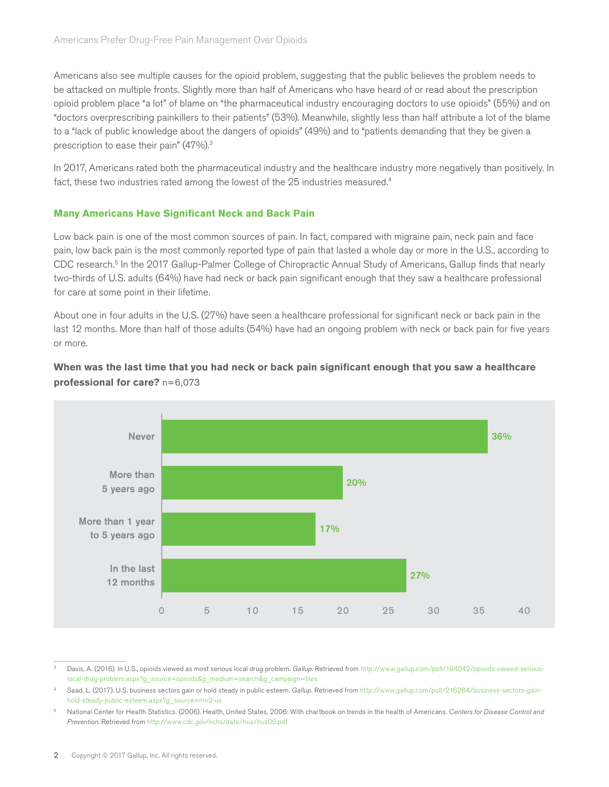Americans also see multiple causes for the opioid problem, suggesting that the public believes the problem needs to be attacked on multiple fronts. Slightly more than half of Americans who have heard of or read about the prescription opioid problem place "a lot" of blame on "the pharmaceutical industry encouraging doctors to use opioids" (55%) and on "doctors overprescribing painkillers to their patients" (53%). Meanwhile, slightly less than half attribute a lot of the blame to a "lack of public knowledge about the dangers of opioids" (49%) and to "patients demanding that they be given a prescription to ease their pain" (47%).<sup>3</sup>

In 2017, Americans rated both the pharmaceutical industry and the healthcare industry more negatively than positively. In fact, these two industries rated among the lowest of the 25 industries measured.<sup>4</sup>

# **Many Americans Have Significant Neck and Back Pain**

Low back pain is one of the most common sources of pain. In fact, compared with migraine pain, neck pain and face pain, low back pain is the most commonly reported type of pain that lasted a whole day or more in the U.S., according to CDC research.5 In the 2017 Gallup-Palmer College of Chiropractic Annual Study of Americans, Gallup finds that nearly two-thirds of U.S. adults (64%) have had neck or back pain significant enough that they saw a healthcare professional for care at some point in their lifetime.

About one in four adults in the U.S. (27%) have seen a healthcare professional for significant neck or back pain in the last 12 months. More than half of those adults (54%) have had an ongoing problem with neck or back pain for five years or more.



# **When was the last time that you had neck or back pain significant enough that you saw a healthcare professional for care?** n=6,073

Davis, A. (2016). In U.S., opioids viewed as most serious local drug problem. Gallup. Retrieved from [http://www.gallup.com/poll/194042/opioids-viewed-serious](http://www.gallup.com/poll/194042/opioids-viewed-serious-local-drug-problem.aspx?g_source=opioids&g_medium=search&g_campaign=tiles)[local-drug-problem.aspx?g\\_source=opioids&g\\_medium=search&g\\_campaign=tiles](http://www.gallup.com/poll/194042/opioids-viewed-serious-local-drug-problem.aspx?g_source=opioids&g_medium=search&g_campaign=tiles)

Saad, L. (2017). U.S. business sectors gain or hold steady in public esteem. Gallup. Retrieved from [http://www.gallup.com/poll/216284/business-sectors-gain](http://www.gallup.com/poll/216284/business-sectors-gain-hold-steady-public-esteem.aspx?g_source=mn2-us)[hold-steady-public-esteem.aspx?g\\_source=mn2-us](http://www.gallup.com/poll/216284/business-sectors-gain-hold-steady-public-esteem.aspx?g_source=mn2-us)

<sup>5</sup> National Center for Health Statistics. (2006). Health, United States, 2006: With chartbook on trends in the health of Americans. *Centers for Disease Control and Prevention*. Retrieved from <http://www.cdc.gov/nchs/data/hus/hus06.pdf>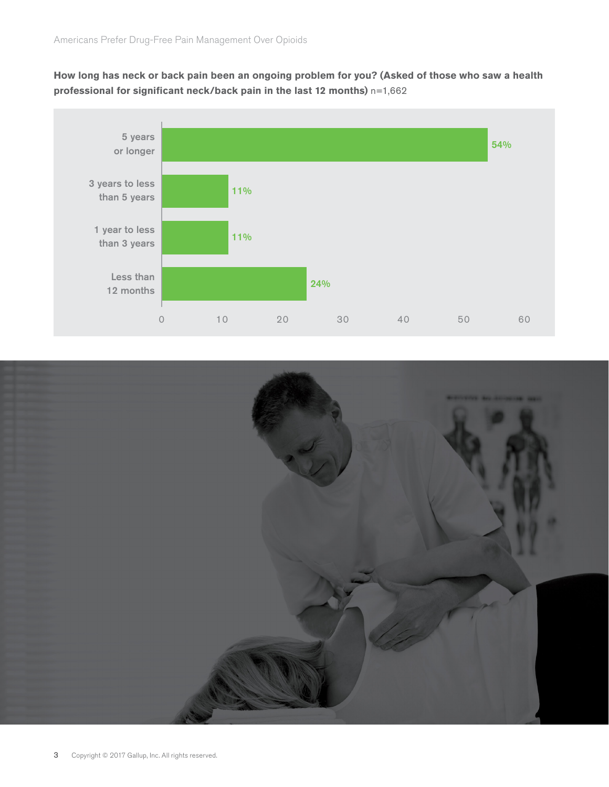**How long has neck or back pain been an ongoing problem for you? (Asked of those who saw a health professional for significant neck/back pain in the last 12 months)** n=1,662



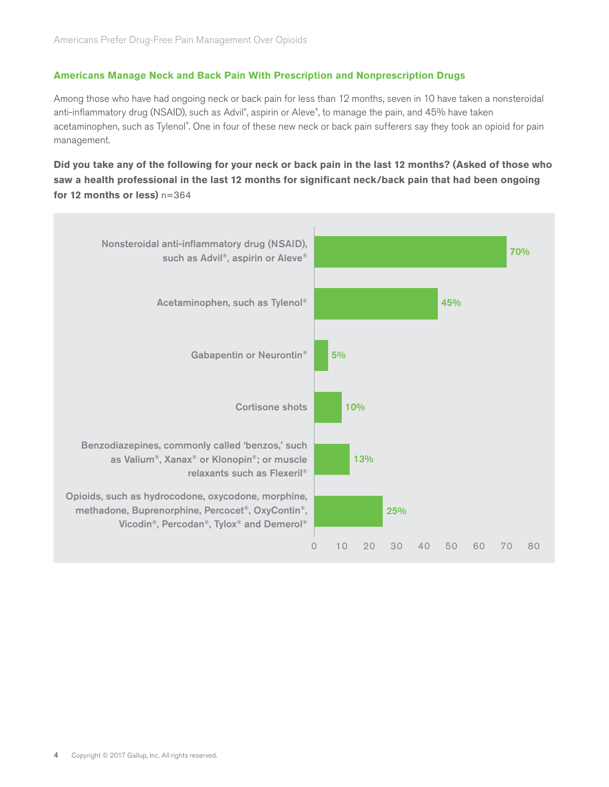# **Americans Manage Neck and Back Pain With Prescription and Nonprescription Drugs**

Among those who have had ongoing neck or back pain for less than 12 months, seven in 10 have taken a nonsteroidal anti-inflammatory drug (NSAID), such as Advil®, aspirin or Aleve®, to manage the pain, and 45% have taken acetaminophen, such as Tylenol®. One in four of these new neck or back pain sufferers say they took an opioid for pain management.

**Did you take any of the following for your neck or back pain in the last 12 months? (Asked of those who saw a health professional in the last 12 months for significant neck/back pain that had been ongoing for 12 months or less)** n=364

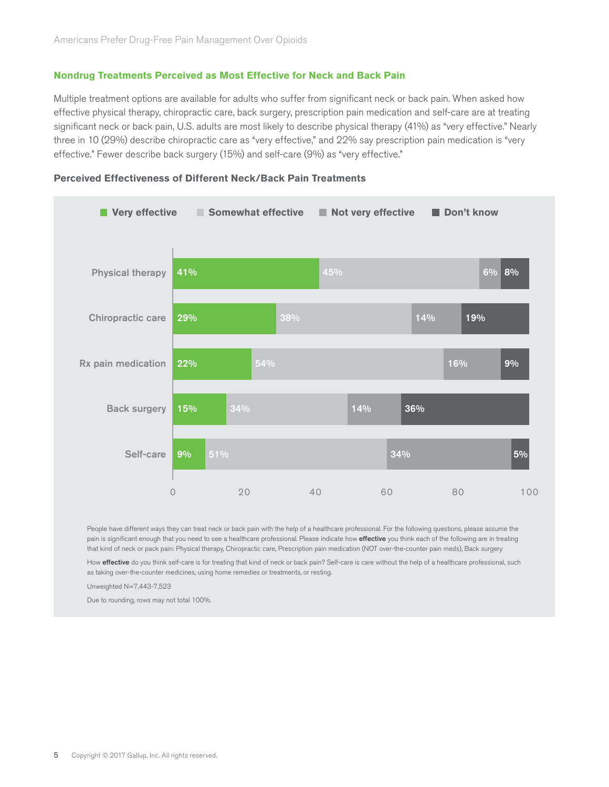#### **Nondrug Treatments Perceived as Most Effective for Neck and Back Pain**

Multiple treatment options are available for adults who suffer from significant neck or back pain. When asked how effective physical therapy, chiropractic care, back surgery, prescription pain medication and self-care are at treating significant neck or back pain, U.S. adults are most likely to describe physical therapy (41%) as "very effective." Nearly three in 10 (29%) describe chiropractic care as "very effective," and 22% say prescription pain medication is "very effective." Fewer describe back surgery (15%) and self-care (9%) as "very effective."



#### **Perceived Effectiveness of Different Neck/Back Pain Treatments**

People have different ways they can treat neck or back pain with the help of a healthcare professional. For the following questions, please assume the pain is significant enough that you need to see a healthcare professional. Please indicate how effective you think each of the following are in treating that kind of neck or pack pain: Physical therapy, Chiropractic care, Prescription pain medication (NOT over-the-counter pain meds), Back surgery

How effective do you think self-care is for treating that kind of neck or back pain? Self-care is care without the help of a healthcare professional, such as taking over-the-counter medicines, using home remedies or treatments, or resting.

Unweighted N=7,443-7,523

Due to rounding, rows may not total 100%.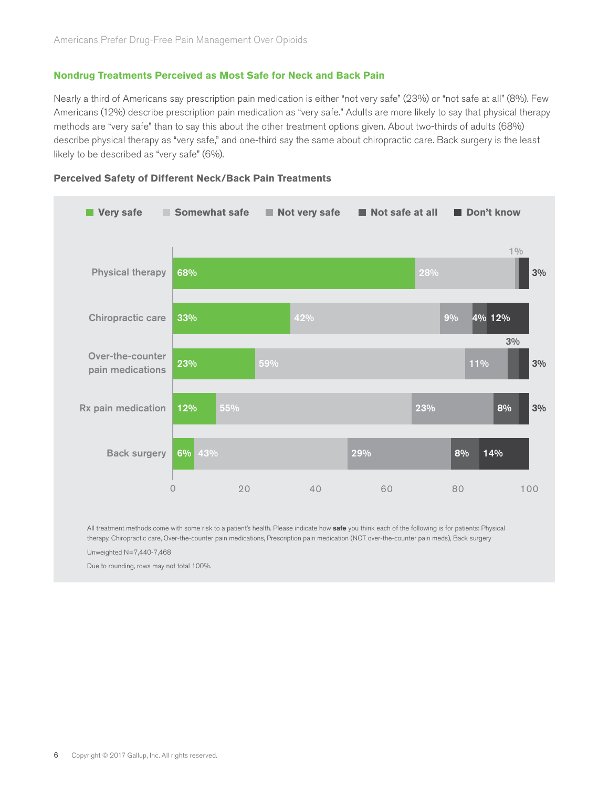#### **Nondrug Treatments Perceived as Most Safe for Neck and Back Pain**

Nearly a third of Americans say prescription pain medication is either "not very safe" (23%) or "not safe at all" (8%). Few Americans (12%) describe prescription pain medication as "very safe." Adults are more likely to say that physical therapy methods are "very safe" than to say this about the other treatment options given. About two-thirds of adults (68%) describe physical therapy as "very safe," and one-third say the same about chiropractic care. Back surgery is the least likely to be described as "very safe" (6%).



#### **Perceived Safety of Different Neck/Back Pain Treatments**

All treatment methods come with some risk to a patient's health. Please indicate how safe you think each of the following is for patients: Physical therapy, Chiropractic care, Over-the-counter pain medications, Prescription pain medication (NOT over-the-counter pain meds), Back surgery Unweighted N=7,440-7,468

Due to rounding, rows may not total 100%.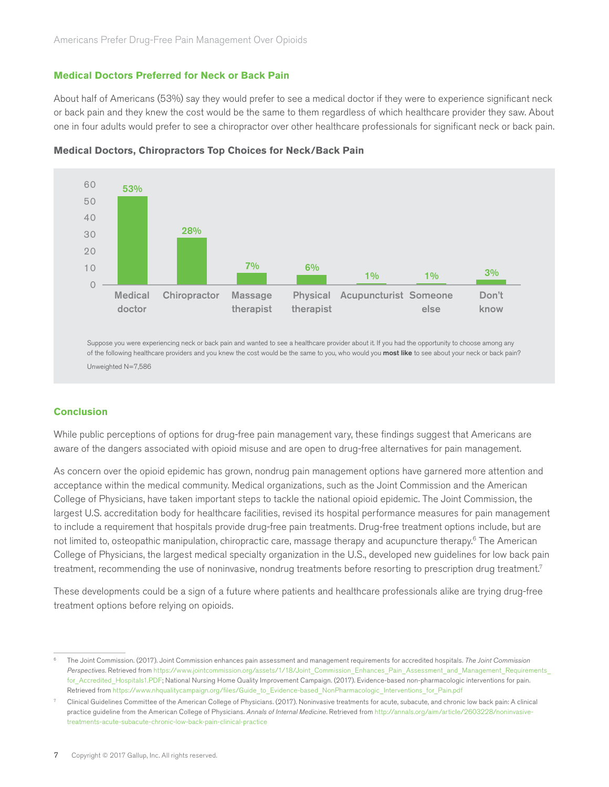#### **Medical Doctors Preferred for Neck or Back Pain**

About half of Americans (53%) say they would prefer to see a medical doctor if they were to experience significant neck or back pain and they knew the cost would be the same to them regardless of which healthcare provider they saw. About one in four adults would prefer to see a chiropractor over other healthcare professionals for significant neck or back pain.



**Medical Doctors, Chiropractors Top Choices for Neck/Back Pain**

Suppose you were experiencing neck or back pain and wanted to see a healthcare provider about it. If you had the opportunity to choose among any of the following healthcare providers and you knew the cost would be the same to you, who would you most like to see about your neck or back pain? Unweighted N=7,586

#### **Conclusion**

While public perceptions of options for drug-free pain management vary, these findings suggest that Americans are aware of the dangers associated with opioid misuse and are open to drug-free alternatives for pain management.

As concern over the opioid epidemic has grown, nondrug pain management options have garnered more attention and acceptance within the medical community. Medical organizations, such as the Joint Commission and the American College of Physicians, have taken important steps to tackle the national opioid epidemic. The Joint Commission, the largest U.S. accreditation body for healthcare facilities, revised its hospital performance measures for pain management to include a requirement that hospitals provide drug-free pain treatments. Drug-free treatment options include, but are not limited to, osteopathic manipulation, chiropractic care, massage therapy and acupuncture therapy.6 The American College of Physicians, the largest medical specialty organization in the U.S., developed new guidelines for low back pain treatment, recommending the use of noninvasive, nondrug treatments before resorting to prescription drug treatment.7

These developments could be a sign of a future where patients and healthcare professionals alike are trying drug-free treatment options before relying on opioids.

<sup>6</sup> The Joint Commission. (2017). Joint Commission enhances pain assessment and management requirements for accredited hospitals. *The Joint Commission Perspectives*. Retrieved from [https://www.jointcommission.org/assets/1/18/Joint\\_Commission\\_Enhances\\_Pain\\_Assessment\\_and\\_Management\\_Requirements\\_](https://www.jointcommission.org/assets/1/18/Joint_Commission_Enhances_Pain_Assessment_and_Management_Requirements_for_Accredited_Hospitals1.PDF) [for\\_Accredited\\_Hospitals1.PDF;](https://www.jointcommission.org/assets/1/18/Joint_Commission_Enhances_Pain_Assessment_and_Management_Requirements_for_Accredited_Hospitals1.PDF) National Nursing Home Quality Improvement Campaign. (2017). Evidence-based non-pharmacologic interventions for pain. Retrieved from [https://www.nhqualitycampaign.org/files/Guide\\_to\\_Evidence-based\\_NonPharmacologic\\_Interventions\\_for\\_Pain.pdf](https://www.nhqualitycampaign.org/files/Guide_to_Evidence-based_NonPharmacologic_Interventions_for_Pain.pdf)

<sup>7</sup> Clinical Guidelines Committee of the American College of Physicians. (2017). Noninvasive treatments for acute, subacute, and chronic low back pain: A clinical practice guideline from the American College of Physicians. *Annals of Internal Medicine*. Retrieved from [http://annals.org/aim/article/2603228/noninvasive](http://annals.org/aim/article/2603228/noninvasive-treatments-acute-subacute-chronic-low-back-pain-clinical-practice)[treatments-acute-subacute-chronic-low-back-pain-clinical-practice](http://annals.org/aim/article/2603228/noninvasive-treatments-acute-subacute-chronic-low-back-pain-clinical-practice)